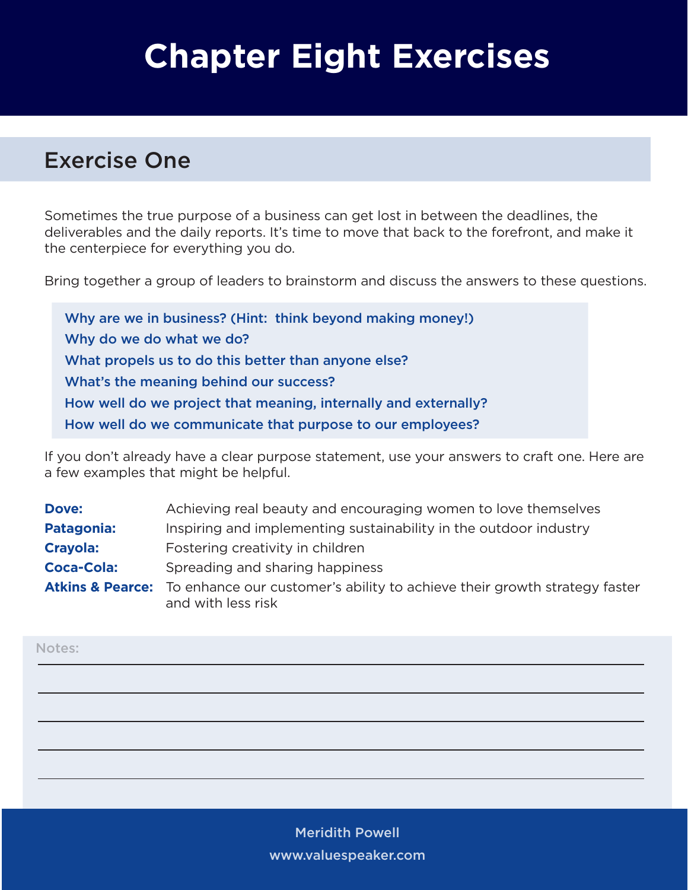# **Chapter Eight Exercises**

### Exercise One

Sometimes the true purpose of a business can get lost in between the deadlines, the deliverables and the daily reports. It's time to move that back to the forefront, and make it the centerpiece for everything you do.

Bring together a group of leaders to brainstorm and discuss the answers to these questions.

Why are we in business? (Hint: think beyond making money!) Why do we do what we do? What propels us to do this better than anyone else? What's the meaning behind our success? How well do we project that meaning, internally and externally? How well do we communicate that purpose to our employees?

If you don't already have a clear purpose statement, use your answers to craft one. Here are a few examples that might be helpful.

| Dove:             | Achieving real beauty and encouraging women to love themselves                                                              |
|-------------------|-----------------------------------------------------------------------------------------------------------------------------|
| Patagonia:        | Inspiring and implementing sustainability in the outdoor industry                                                           |
| <b>Crayola:</b>   | Fostering creativity in children                                                                                            |
| <b>Coca-Cola:</b> | Spreading and sharing happiness                                                                                             |
|                   | <b>Atkins &amp; Pearce:</b> To enhance our customer's ability to achieve their growth strategy faster<br>and with less risk |

Notes: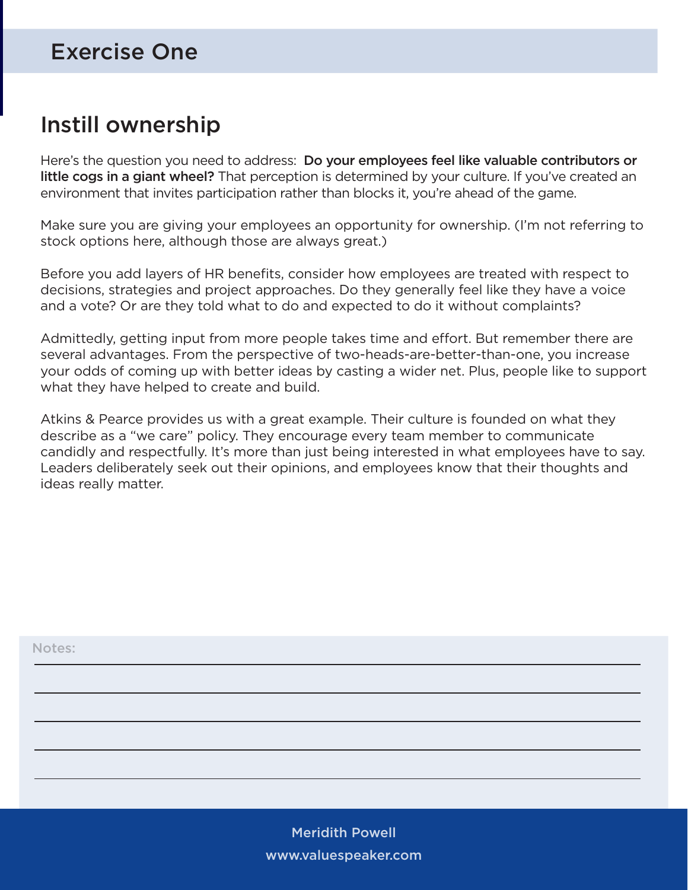## Exercise One

# Instill ownership

Here's the question you need to address: Do your employees feel like valuable contributors or little cogs in a giant wheel? That perception is determined by your culture. If you've created an environment that invites participation rather than blocks it, you're ahead of the game.

Make sure you are giving your employees an opportunity for ownership. (I'm not referring to stock options here, although those are always great.)

Before you add layers of HR benefits, consider how employees are treated with respect to decisions, strategies and project approaches. Do they generally feel like they have a voice and a vote? Or are they told what to do and expected to do it without complaints?

Admittedly, getting input from more people takes time and effort. But remember there are several advantages. From the perspective of two-heads-are-better-than-one, you increase your odds of coming up with better ideas by casting a wider net. Plus, people like to support what they have helped to create and build.

Atkins & Pearce provides us with a great example. Their culture is founded on what they describe as a "we care" policy. They encourage every team member to communicate candidly and respectfully. It's more than just being interested in what employees have to say. Leaders deliberately seek out their opinions, and employees know that their thoughts and ideas really matter.

| Notes: |  |  |  |
|--------|--|--|--|
|        |  |  |  |
|        |  |  |  |
|        |  |  |  |
|        |  |  |  |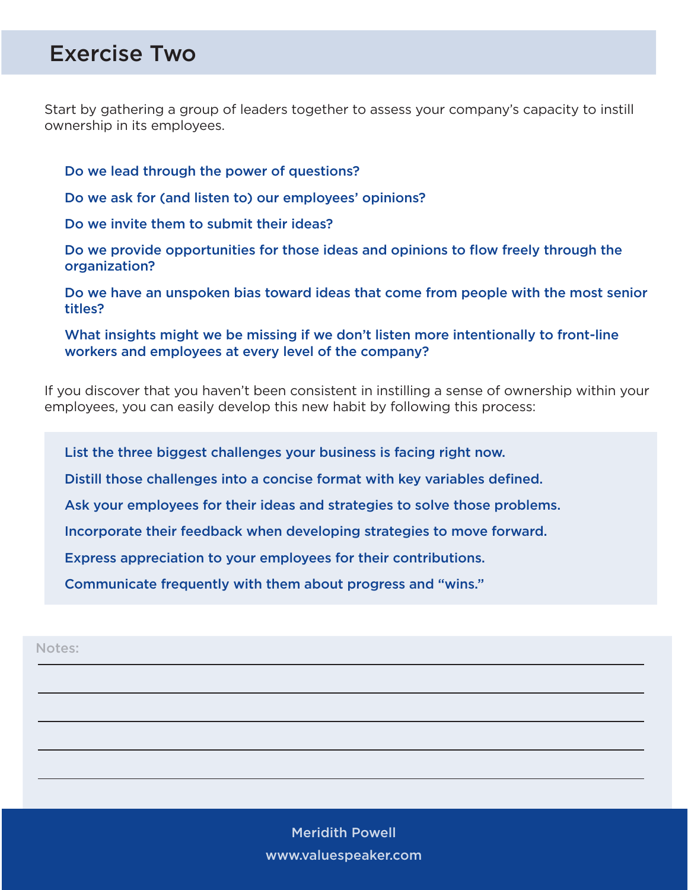#### Exercise Two

Start by gathering a group of leaders together to assess your company's capacity to instill ownership in its employees.

Do we lead through the power of questions?

Do we ask for (and listen to) our employees' opinions?

Do we invite them to submit their ideas?

Do we provide opportunities for those ideas and opinions to flow freely through the organization?

Do we have an unspoken bias toward ideas that come from people with the most senior titles?

What insights might we be missing if we don't listen more intentionally to front-line workers and employees at every level of the company?

If you discover that you haven't been consistent in instilling a sense of ownership within your employees, you can easily develop this new habit by following this process:

List the three biggest challenges your business is facing right now.

Distill those challenges into a concise format with key variables defined.

Ask your employees for their ideas and strategies to solve those problems.

Incorporate their feedback when developing strategies to move forward.

Express appreciation to your employees for their contributions.

Communicate frequently with them about progress and "wins."

Notes: